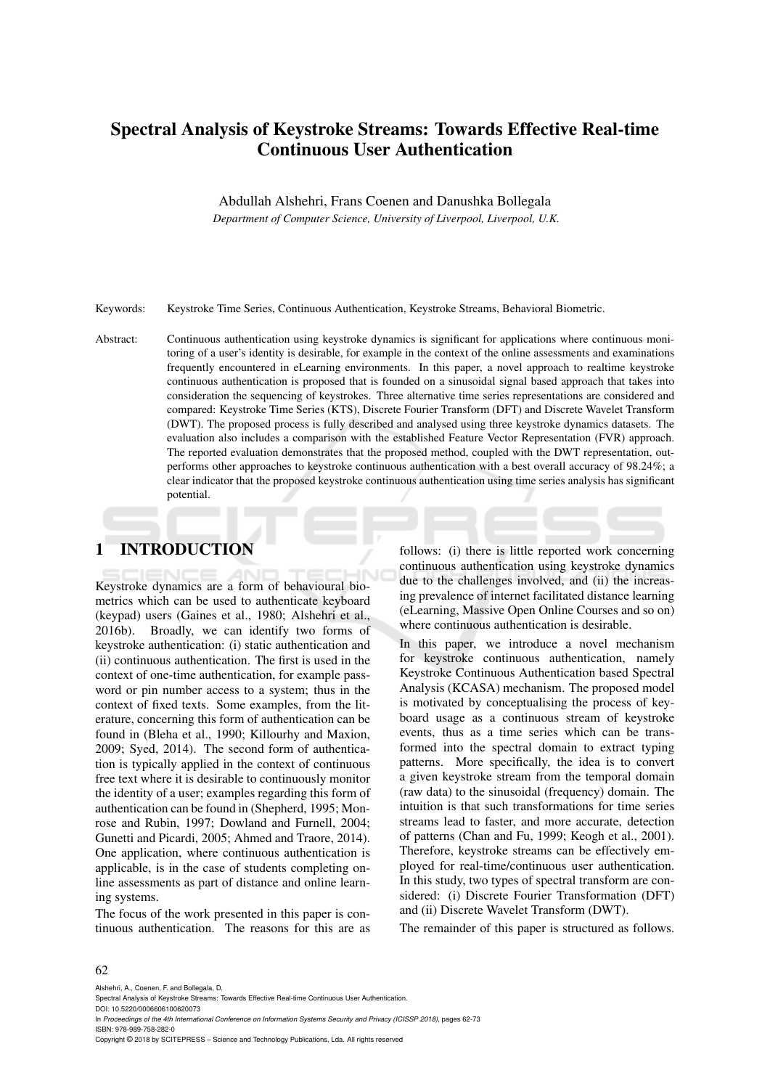# Spectral Analysis of Keystroke Streams: Towards Effective Real-time Continuous User Authentication

Abdullah Alshehri, Frans Coenen and Danushka Bollegala

*Department of Computer Science, University of Liverpool, Liverpool, U.K.*

Keywords: Keystroke Time Series, Continuous Authentication, Keystroke Streams, Behavioral Biometric.

Abstract: Continuous authentication using keystroke dynamics is significant for applications where continuous monitoring of a user's identity is desirable, for example in the context of the online assessments and examinations frequently encountered in eLearning environments. In this paper, a novel approach to realtime keystroke continuous authentication is proposed that is founded on a sinusoidal signal based approach that takes into consideration the sequencing of keystrokes. Three alternative time series representations are considered and compared: Keystroke Time Series (KTS), Discrete Fourier Transform (DFT) and Discrete Wavelet Transform (DWT). The proposed process is fully described and analysed using three keystroke dynamics datasets. The evaluation also includes a comparison with the established Feature Vector Representation (FVR) approach. The reported evaluation demonstrates that the proposed method, coupled with the DWT representation, outperforms other approaches to keystroke continuous authentication with a best overall accuracy of 98.24%; a clear indicator that the proposed keystroke continuous authentication using time series analysis has significant potential.

# 1 INTRODUCTION

Keystroke dynamics are a form of behavioural biometrics which can be used to authenticate keyboard (keypad) users (Gaines et al., 1980; Alshehri et al., 2016b). Broadly, we can identify two forms of keystroke authentication: (i) static authentication and (ii) continuous authentication. The first is used in the context of one-time authentication, for example password or pin number access to a system; thus in the context of fixed texts. Some examples, from the literature, concerning this form of authentication can be found in (Bleha et al., 1990; Killourhy and Maxion, 2009; Syed, 2014). The second form of authentication is typically applied in the context of continuous free text where it is desirable to continuously monitor the identity of a user; examples regarding this form of authentication can be found in (Shepherd, 1995; Monrose and Rubin, 1997; Dowland and Furnell, 2004; Gunetti and Picardi, 2005; Ahmed and Traore, 2014). One application, where continuous authentication is applicable, is in the case of students completing online assessments as part of distance and online learning systems.

The focus of the work presented in this paper is continuous authentication. The reasons for this are as

follows: (i) there is little reported work concerning continuous authentication using keystroke dynamics due to the challenges involved, and (ii) the increasing prevalence of internet facilitated distance learning (eLearning, Massive Open Online Courses and so on) where continuous authentication is desirable.

In this paper, we introduce a novel mechanism for keystroke continuous authentication, namely Keystroke Continuous Authentication based Spectral Analysis (KCASA) mechanism. The proposed model is motivated by conceptualising the process of keyboard usage as a continuous stream of keystroke events, thus as a time series which can be transformed into the spectral domain to extract typing patterns. More specifically, the idea is to convert a given keystroke stream from the temporal domain (raw data) to the sinusoidal (frequency) domain. The intuition is that such transformations for time series streams lead to faster, and more accurate, detection of patterns (Chan and Fu, 1999; Keogh et al., 2001). Therefore, keystroke streams can be effectively employed for real-time/continuous user authentication. In this study, two types of spectral transform are considered: (i) Discrete Fourier Transformation (DFT) and (ii) Discrete Wavelet Transform (DWT).

The remainder of this paper is structured as follows.

#### 62

Alshehri, A., Coenen, F. and Bollegala, D.

ISBN: 978-989-758-282-0 Copyright © 2018 by SCITEPRESS – Science and Technology Publications, Lda. All rights reserved

Spectral Analysis of Keystroke Streams: Towards Effective Real-time Continuous User Authentication. DOI: 10.5220/0006606100620073 In *Proceedings of the 4th International Conference on Information Systems Security and Privacy (ICISSP 2018)*, pages 62-73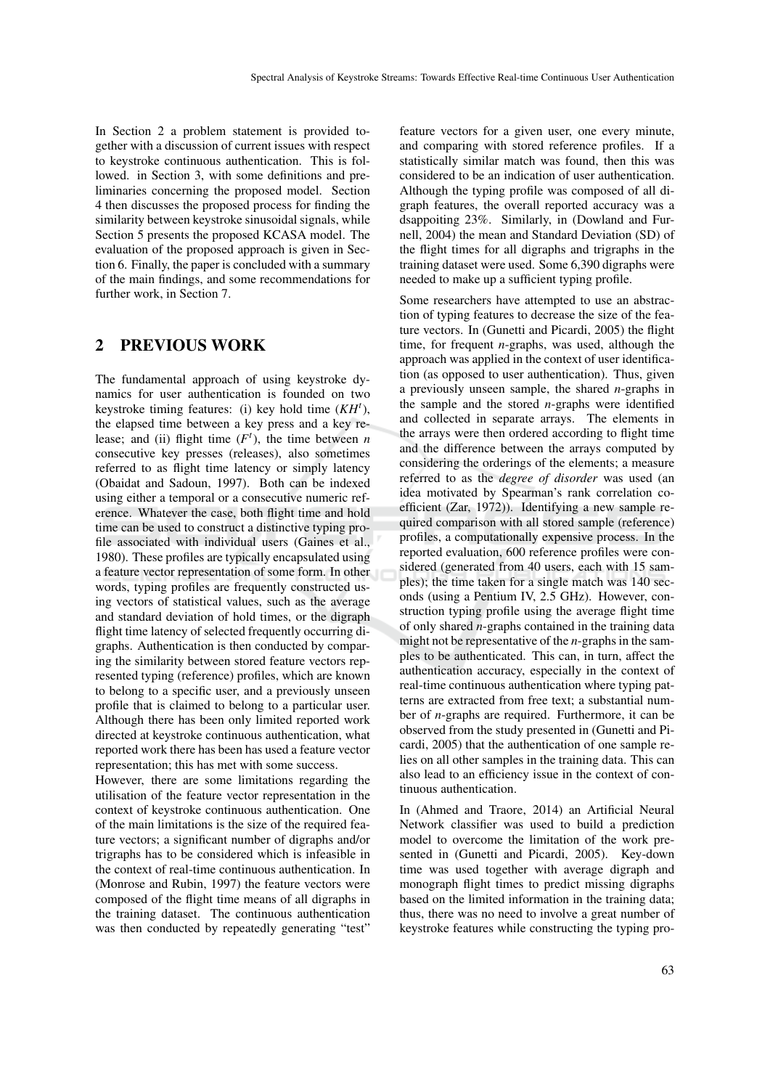In Section 2 a problem statement is provided together with a discussion of current issues with respect to keystroke continuous authentication. This is followed. in Section 3, with some definitions and preliminaries concerning the proposed model. Section 4 then discusses the proposed process for finding the similarity between keystroke sinusoidal signals, while Section 5 presents the proposed KCASA model. The evaluation of the proposed approach is given in Section 6. Finally, the paper is concluded with a summary of the main findings, and some recommendations for further work, in Section 7.

### 2 PREVIOUS WORK

The fundamental approach of using keystroke dynamics for user authentication is founded on two keystroke timing features: (i) key hold time (*KH<sup>t</sup>* ), the elapsed time between a key press and a key release; and (ii) flight time  $(F<sup>t</sup>)$ , the time between *n* consecutive key presses (releases), also sometimes referred to as flight time latency or simply latency (Obaidat and Sadoun, 1997). Both can be indexed using either a temporal or a consecutive numeric reference. Whatever the case, both flight time and hold time can be used to construct a distinctive typing profile associated with individual users (Gaines et al., 1980). These profiles are typically encapsulated using a feature vector representation of some form. In other words, typing profiles are frequently constructed using vectors of statistical values, such as the average and standard deviation of hold times, or the digraph flight time latency of selected frequently occurring digraphs. Authentication is then conducted by comparing the similarity between stored feature vectors represented typing (reference) profiles, which are known to belong to a specific user, and a previously unseen profile that is claimed to belong to a particular user. Although there has been only limited reported work directed at keystroke continuous authentication, what reported work there has been has used a feature vector representation; this has met with some success.

However, there are some limitations regarding the utilisation of the feature vector representation in the context of keystroke continuous authentication. One of the main limitations is the size of the required feature vectors; a significant number of digraphs and/or trigraphs has to be considered which is infeasible in the context of real-time continuous authentication. In (Monrose and Rubin, 1997) the feature vectors were composed of the flight time means of all digraphs in the training dataset. The continuous authentication was then conducted by repeatedly generating "test"

feature vectors for a given user, one every minute, and comparing with stored reference profiles. If a statistically similar match was found, then this was considered to be an indication of user authentication. Although the typing profile was composed of all digraph features, the overall reported accuracy was a dsappoiting 23%. Similarly, in (Dowland and Furnell, 2004) the mean and Standard Deviation (SD) of the flight times for all digraphs and trigraphs in the training dataset were used. Some 6,390 digraphs were needed to make up a sufficient typing profile.

Some researchers have attempted to use an abstraction of typing features to decrease the size of the feature vectors. In (Gunetti and Picardi, 2005) the flight time, for frequent *n*-graphs, was used, although the approach was applied in the context of user identification (as opposed to user authentication). Thus, given a previously unseen sample, the shared *n*-graphs in the sample and the stored *n*-graphs were identified and collected in separate arrays. The elements in the arrays were then ordered according to flight time and the difference between the arrays computed by considering the orderings of the elements; a measure referred to as the *degree of disorder* was used (an idea motivated by Spearman's rank correlation coefficient (Zar, 1972)). Identifying a new sample required comparison with all stored sample (reference) profiles, a computationally expensive process. In the reported evaluation, 600 reference profiles were considered (generated from 40 users, each with 15 samples); the time taken for a single match was 140 seconds (using a Pentium IV, 2.5 GHz). However, construction typing profile using the average flight time of only shared *n*-graphs contained in the training data might not be representative of the *n*-graphs in the samples to be authenticated. This can, in turn, affect the authentication accuracy, especially in the context of real-time continuous authentication where typing patterns are extracted from free text; a substantial number of *n*-graphs are required. Furthermore, it can be observed from the study presented in (Gunetti and Picardi, 2005) that the authentication of one sample relies on all other samples in the training data. This can also lead to an efficiency issue in the context of continuous authentication.

In (Ahmed and Traore, 2014) an Artificial Neural Network classifier was used to build a prediction model to overcome the limitation of the work presented in (Gunetti and Picardi, 2005). Key-down time was used together with average digraph and monograph flight times to predict missing digraphs based on the limited information in the training data; thus, there was no need to involve a great number of keystroke features while constructing the typing pro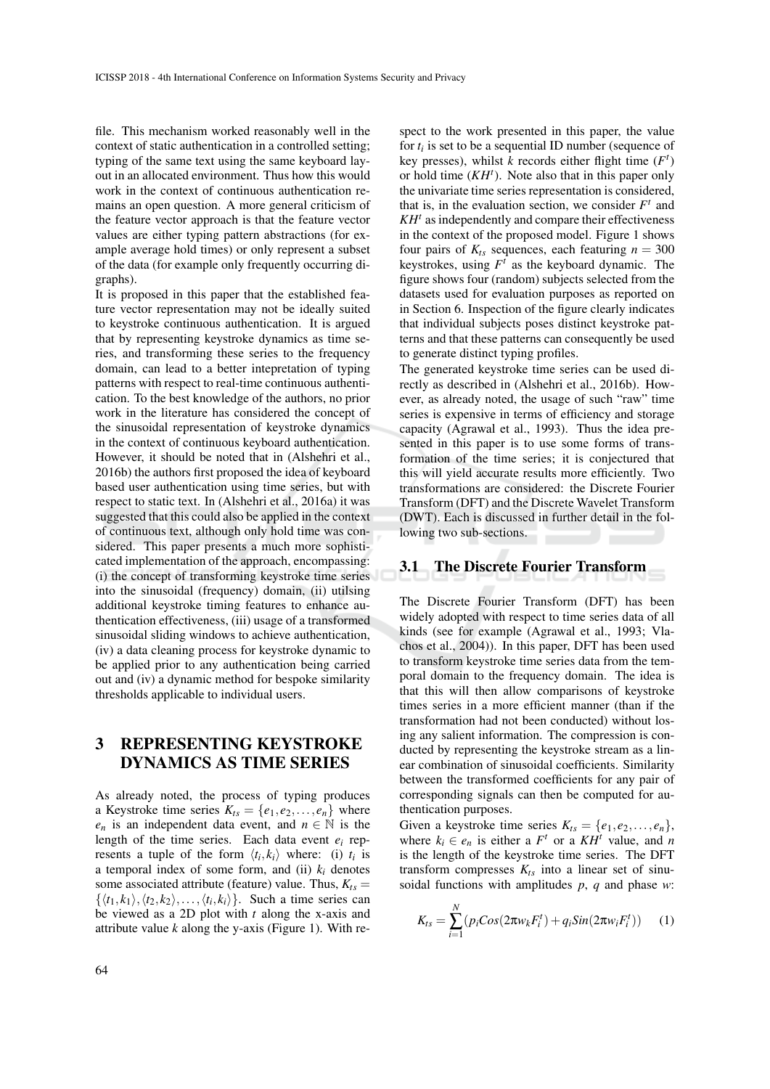file. This mechanism worked reasonably well in the context of static authentication in a controlled setting; typing of the same text using the same keyboard layout in an allocated environment. Thus how this would work in the context of continuous authentication remains an open question. A more general criticism of the feature vector approach is that the feature vector values are either typing pattern abstractions (for example average hold times) or only represent a subset of the data (for example only frequently occurring digraphs).

It is proposed in this paper that the established feature vector representation may not be ideally suited to keystroke continuous authentication. It is argued that by representing keystroke dynamics as time series, and transforming these series to the frequency domain, can lead to a better intepretation of typing patterns with respect to real-time continuous authentication. To the best knowledge of the authors, no prior work in the literature has considered the concept of the sinusoidal representation of keystroke dynamics in the context of continuous keyboard authentication. However, it should be noted that in (Alshehri et al., 2016b) the authors first proposed the idea of keyboard based user authentication using time series, but with respect to static text. In (Alshehri et al., 2016a) it was suggested that this could also be applied in the context of continuous text, although only hold time was considered. This paper presents a much more sophisticated implementation of the approach, encompassing: (i) the concept of transforming keystroke time series into the sinusoidal (frequency) domain, (ii) utilsing additional keystroke timing features to enhance authentication effectiveness, (iii) usage of a transformed sinusoidal sliding windows to achieve authentication, (iv) a data cleaning process for keystroke dynamic to be applied prior to any authentication being carried out and (iv) a dynamic method for bespoke similarity thresholds applicable to individual users.

## 3 REPRESENTING KEYSTROKE DYNAMICS AS TIME SERIES

As already noted, the process of typing produces a Keystroke time series  $K_{ts} = \{e_1, e_2, \dots, e_n\}$  where *e<sub>n</sub>* is an independent data event, and  $n \in \mathbb{N}$  is the length of the time series. Each data event *e<sup>i</sup>* represents a tuple of the form  $\langle t_i, k_i \rangle$  where: (i)  $t_i$  is a temporal index of some form, and (ii)  $k_i$  denotes some associated attribute (feature) value. Thus,  $K_{ts}$  =  $\{\langle t_1, k_1 \rangle, \langle t_2, k_2 \rangle, \ldots, \langle t_i, k_i \rangle\}$ . Such a time series can be viewed as a 2D plot with *t* along the x-axis and attribute value *k* along the y-axis (Figure 1). With re-

spect to the work presented in this paper, the value for  $t_i$  is set to be a sequential ID number (sequence of key presses), whilst  $k$  records either flight time  $(F<sup>t</sup>)$ or hold time  $(KH<sup>t</sup>)$ . Note also that in this paper only the univariate time series representation is considered, that is, in the evaluation section, we consider  $F<sup>t</sup>$  and *KH<sup>t</sup>* as independently and compare their effectiveness in the context of the proposed model. Figure 1 shows four pairs of  $K$ <sup>ts</sup> sequences, each featuring  $n = 300$ keystrokes, using  $F^t$  as the keyboard dynamic. The figure shows four (random) subjects selected from the datasets used for evaluation purposes as reported on in Section 6. Inspection of the figure clearly indicates that individual subjects poses distinct keystroke patterns and that these patterns can consequently be used to generate distinct typing profiles.

The generated keystroke time series can be used directly as described in (Alshehri et al., 2016b). However, as already noted, the usage of such "raw" time series is expensive in terms of efficiency and storage capacity (Agrawal et al., 1993). Thus the idea presented in this paper is to use some forms of transformation of the time series; it is conjectured that this will yield accurate results more efficiently. Two transformations are considered: the Discrete Fourier Transform (DFT) and the Discrete Wavelet Transform (DWT). Each is discussed in further detail in the following two sub-sections.

#### 3.1 The Discrete Fourier Transform

The Discrete Fourier Transform (DFT) has been widely adopted with respect to time series data of all kinds (see for example (Agrawal et al., 1993; Vlachos et al., 2004)). In this paper, DFT has been used to transform keystroke time series data from the temporal domain to the frequency domain. The idea is that this will then allow comparisons of keystroke times series in a more efficient manner (than if the transformation had not been conducted) without losing any salient information. The compression is conducted by representing the keystroke stream as a linear combination of sinusoidal coefficients. Similarity between the transformed coefficients for any pair of corresponding signals can then be computed for authentication purposes.

Given a keystroke time series  $K_{ts} = \{e_1, e_2, \dots, e_n\},\$ where  $k_i \in e_n$  is either a  $F^t$  or a  $KH^t$  value, and *n* is the length of the keystroke time series. The DFT transform compresses  $K_{ts}$  into a linear set of sinusoidal functions with amplitudes *p*, *q* and phase *w*:

$$
K_{ts} = \sum_{i=1}^{N} (p_i Cos(2\pi w_k F_i^t) + q_i Sin(2\pi w_i F_i^t))
$$
 (1)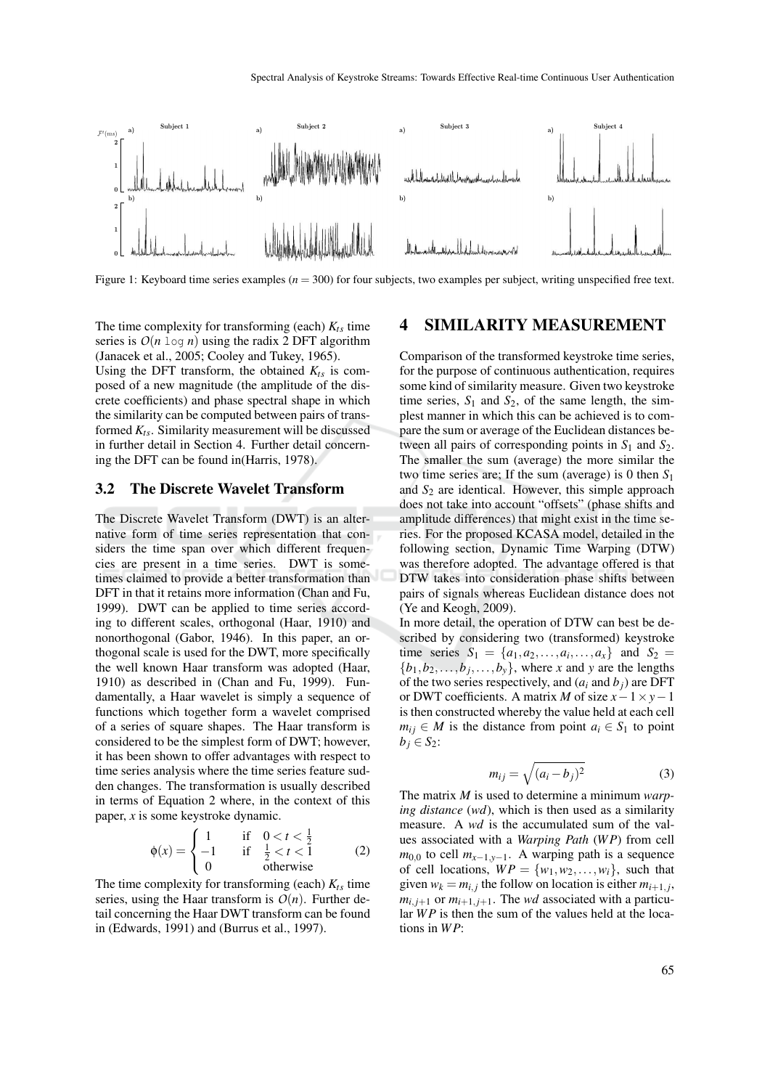

Figure 1: Keyboard time series examples ( $n = 300$ ) for four subjects, two examples per subject, writing unspecified free text.

The time complexity for transforming (each)  $K_{ts}$  time series is  $O(n \log n)$  using the radix 2 DFT algorithm (Janacek et al., 2005; Cooley and Tukey, 1965).

Using the DFT transform, the obtained  $K_{ts}$  is composed of a new magnitude (the amplitude of the discrete coefficients) and phase spectral shape in which the similarity can be computed between pairs of transformed  $K$ <sub>ts</sub>. Similarity measurement will be discussed in further detail in Section 4. Further detail concerning the DFT can be found in(Harris, 1978).

#### 3.2 The Discrete Wavelet Transform

The Discrete Wavelet Transform (DWT) is an alternative form of time series representation that considers the time span over which different frequencies are present in a time series. DWT is sometimes claimed to provide a better transformation than DFT in that it retains more information (Chan and Fu, 1999). DWT can be applied to time series according to different scales, orthogonal (Haar, 1910) and nonorthogonal (Gabor, 1946). In this paper, an orthogonal scale is used for the DWT, more specifically the well known Haar transform was adopted (Haar, 1910) as described in (Chan and Fu, 1999). Fundamentally, a Haar wavelet is simply a sequence of functions which together form a wavelet comprised of a series of square shapes. The Haar transform is considered to be the simplest form of DWT; however, it has been shown to offer advantages with respect to time series analysis where the time series feature sudden changes. The transformation is usually described in terms of Equation 2 where, in the context of this paper, *x* is some keystroke dynamic.

$$
\phi(x) = \begin{cases}\n1 & \text{if } 0 < t < \frac{1}{2} \\
-1 & \text{if } \frac{1}{2} < t < 1 \\
0 & \text{otherwise}\n\end{cases}
$$
\n(2)

The time complexity for transforming (each)  $K_{ts}$  time series, using the Haar transform is  $O(n)$ . Further detail concerning the Haar DWT transform can be found in (Edwards, 1991) and (Burrus et al., 1997).

### 4 SIMILARITY MEASUREMENT

Comparison of the transformed keystroke time series, for the purpose of continuous authentication, requires some kind of similarity measure. Given two keystroke time series,  $S_1$  and  $S_2$ , of the same length, the simplest manner in which this can be achieved is to compare the sum or average of the Euclidean distances between all pairs of corresponding points in  $S_1$  and  $S_2$ . The smaller the sum (average) the more similar the two time series are; If the sum (average) is 0 then *S*<sup>1</sup> and  $S<sub>2</sub>$  are identical. However, this simple approach does not take into account "offsets" (phase shifts and amplitude differences) that might exist in the time series. For the proposed KCASA model, detailed in the following section, Dynamic Time Warping (DTW) was therefore adopted. The advantage offered is that DTW takes into consideration phase shifts between pairs of signals whereas Euclidean distance does not (Ye and Keogh, 2009).

In more detail, the operation of DTW can best be described by considering two (transformed) keystroke time series  $S_1 = \{a_1, a_2, ..., a_i, ..., a_x\}$  and  $S_2 =$  $\{b_1, b_2, \ldots, b_j, \ldots, b_y\}$ , where *x* and *y* are the lengths of the two series respectively, and  $(a_i \text{ and } b_j)$  are DFT or DWT coefficients. A matrix *M* of size *x*−1×*y*−1 is then constructed whereby the value held at each cell  $m_{ij} \in M$  is the distance from point  $a_i \in S_1$  to point  $b_j \in S_2$ :

$$
m_{ij} = \sqrt{(a_i - b_j)^2} \tag{3}
$$

The matrix *M* is used to determine a minimum *warping distance* (*wd*), which is then used as a similarity measure. A *wd* is the accumulated sum of the values associated with a *Warping Path* (*WP*) from cell  $m_{0,0}$  to cell  $m_{x-1,y-1}$ . A warping path is a sequence of cell locations,  $WP = \{w_1, w_2, \ldots, w_i\}$ , such that given  $w_k = m_{i,j}$  the follow on location is either  $m_{i+1,j}$ ,  $m_{i,i+1}$  or  $m_{i+1,i+1}$ . The *wd* associated with a particular *WP* is then the sum of the values held at the locations in *WP*: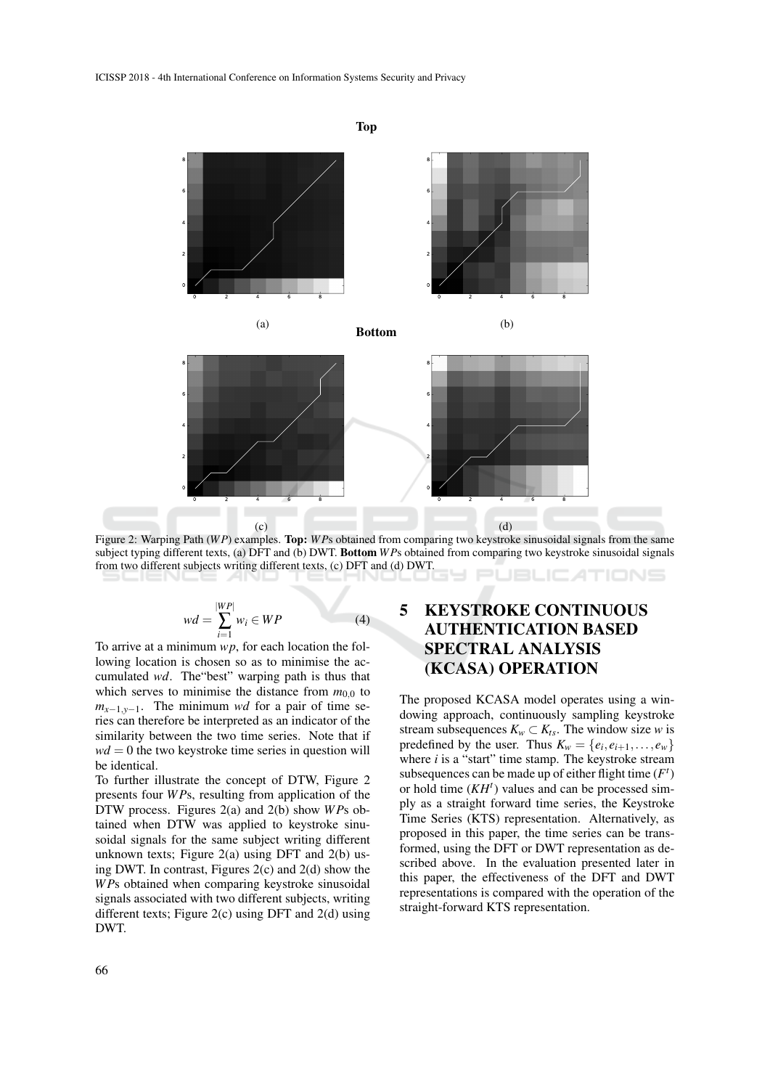

Top

Figure 2: Warping Path (*WP*) examples. Top: *WP*s obtained from comparing two keystroke sinusoidal signals from the same subject typing different texts, (a) DFT and (b) DWT. Bottom *WP*s obtained from comparing two keystroke sinusoidal signals from two different subjects writing different texts, (c) DFT and (d) DWT. **JBLICATIONS** 

$$
wd = \sum_{i=1}^{|WP|} w_i \in WP \tag{4}
$$

To arrive at a minimum *wp*, for each location the following location is chosen so as to minimise the accumulated *wd*. The"best" warping path is thus that which serves to minimise the distance from  $m_{0,0}$  to  $m_{x-1,y-1}$ . The minimum *wd* for a pair of time series can therefore be interpreted as an indicator of the similarity between the two time series. Note that if  $wd = 0$  the two keystroke time series in question will be identical.

To further illustrate the concept of DTW, Figure 2 presents four *WP*s, resulting from application of the DTW process. Figures 2(a) and 2(b) show *WP*s obtained when DTW was applied to keystroke sinusoidal signals for the same subject writing different unknown texts; Figure 2(a) using DFT and 2(b) using DWT. In contrast, Figures 2(c) and 2(d) show the *WP*s obtained when comparing keystroke sinusoidal signals associated with two different subjects, writing different texts; Figure 2(c) using DFT and 2(d) using DWT.

# 5 KEYSTROKE CONTINUOUS AUTHENTICATION BASED SPECTRAL ANALYSIS (KCASA) OPERATION

The proposed KCASA model operates using a windowing approach, continuously sampling keystroke stream subsequences  $K_w \subset K_{ts}$ . The window size *w* is predefined by the user. Thus  $K_w = \{e_i, e_{i+1}, \ldots, e_w\}$ where *i* is a "start" time stamp. The keystroke stream subsequences can be made up of either flight time  $(F<sup>t</sup>)$ or hold time  $(KH<sup>t</sup>)$  values and can be processed simply as a straight forward time series, the Keystroke Time Series (KTS) representation. Alternatively, as proposed in this paper, the time series can be transformed, using the DFT or DWT representation as described above. In the evaluation presented later in this paper, the effectiveness of the DFT and DWT representations is compared with the operation of the straight-forward KTS representation.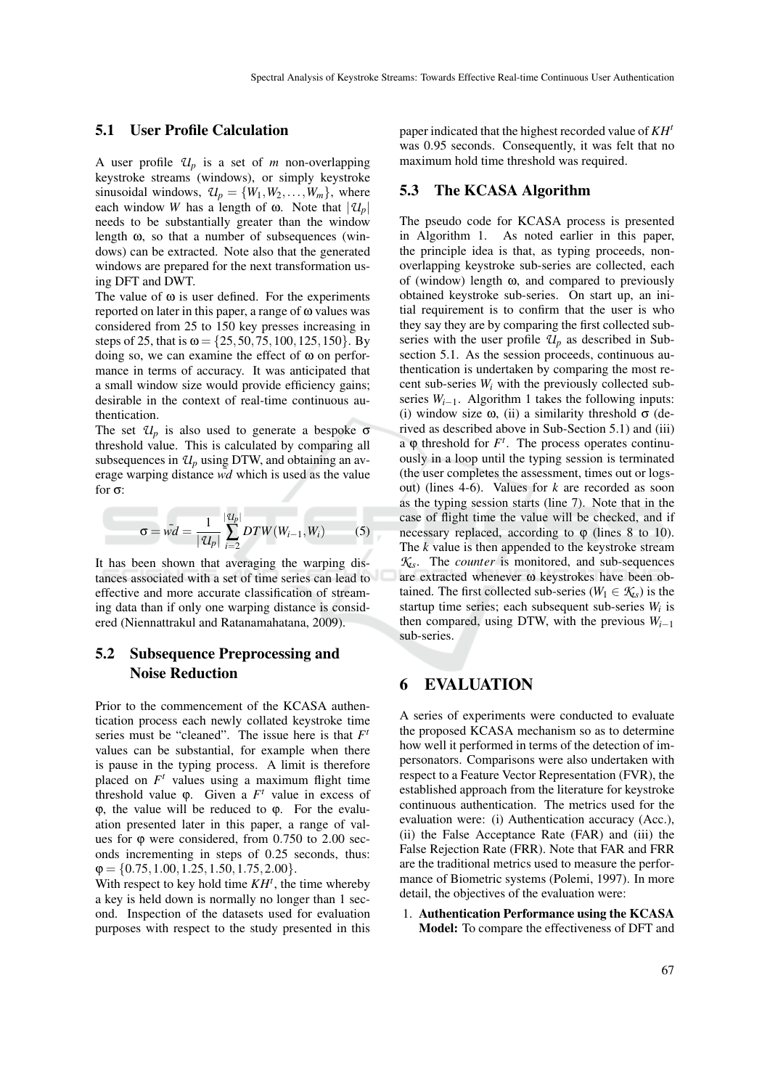#### 5.1 User Profile Calculation

A user profile  $U_p$  is a set of *m* non-overlapping keystroke streams (windows), or simply keystroke sinusoidal windows,  $\mathcal{U}_p = \{W_1, W_2, \dots, W_m\}$ , where each window *W* has a length of  $\omega$ . Note that  $|\mathcal{U}_p|$ needs to be substantially greater than the window length ω, so that a number of subsequences (windows) can be extracted. Note also that the generated windows are prepared for the next transformation using DFT and DWT.

The value of  $\omega$  is user defined. For the experiments reported on later in this paper, a range of  $\omega$  values was considered from 25 to 150 key presses increasing in steps of 25, that is  $\omega = \{25, 50, 75, 100, 125, 150\}$ . By doing so, we can examine the effect of  $\omega$  on performance in terms of accuracy. It was anticipated that a small window size would provide efficiency gains; desirable in the context of real-time continuous authentication.

The set  $\mathcal{U}_p$  is also used to generate a bespoke  $\sigma$ threshold value. This is calculated by comparing all subsequences in  $\mathcal{U}_p$  using DTW, and obtaining an average warping distance  $\overline{wd}$  which is used as the value for σ:

$$
\sigma = \bar{wd} = \frac{1}{|\mathcal{U}_p|} \sum_{i=2}^{|\mathcal{U}_p|} DTW(W_{i-1}, W_i)
$$
 (5)

It has been shown that averaging the warping distances associated with a set of time series can lead to effective and more accurate classification of streaming data than if only one warping distance is considered (Niennattrakul and Ratanamahatana, 2009).

## 5.2 Subsequence Preprocessing and Noise Reduction

Prior to the commencement of the KCASA authentication process each newly collated keystroke time series must be "cleaned". The issue here is that  $F^t$ values can be substantial, for example when there is pause in the typing process. A limit is therefore placed on  $F<sup>t</sup>$  values using a maximum flight time threshold value  $\varphi$ . Given a  $F^t$  value in excess of ϕ, the value will be reduced to ϕ. For the evaluation presented later in this paper, a range of values for  $\varphi$  were considered, from 0.750 to 2.00 seconds incrementing in steps of 0.25 seconds, thus:  $\varphi = \{0.75, 1.00, 1.25, 1.50, 1.75, 2.00\}.$ 

With respect to key hold time *KH<sup>t</sup>* , the time whereby a key is held down is normally no longer than 1 second. Inspection of the datasets used for evaluation purposes with respect to the study presented in this paper indicated that the highest recorded value of *KH<sup>t</sup>* was 0.95 seconds. Consequently, it was felt that no maximum hold time threshold was required.

#### 5.3 The KCASA Algorithm

The pseudo code for KCASA process is presented in Algorithm 1. As noted earlier in this paper, the principle idea is that, as typing proceeds, nonoverlapping keystroke sub-series are collected, each of (window) length  $\omega$ , and compared to previously obtained keystroke sub-series. On start up, an initial requirement is to confirm that the user is who they say they are by comparing the first collected subseries with the user profile  $U_p$  as described in Subsection 5.1. As the session proceeds, continuous authentication is undertaken by comparing the most recent sub-series *W<sup>i</sup>* with the previously collected subseries  $W_{i-1}$ . Algorithm 1 takes the following inputs: (i) window size  $\omega$ , (ii) a similarity threshold  $\sigma$  (derived as described above in Sub-Section 5.1) and (iii) a  $\varphi$  threshold for  $F^t$ . The process operates continuously in a loop until the typing session is terminated (the user completes the assessment, times out or logsout) (lines 4-6). Values for *k* are recorded as soon as the typing session starts (line 7). Note that in the case of flight time the value will be checked, and if necessary replaced, according to  $\varphi$  (lines 8 to 10). The *k* value is then appended to the keystroke stream *Kts*. The *counter* is monitored, and sub-sequences are extracted whenever ω keystrokes have been obtained. The first collected sub-series ( $W_1 \in \mathcal{K}_{\mathcal{S}}$ ) is the startup time series; each subsequent sub-series *W<sup>i</sup>* is then compared, using DTW, with the previous  $W_{i-1}$ sub-series.

### 6 EVALUATION

A series of experiments were conducted to evaluate the proposed KCASA mechanism so as to determine how well it performed in terms of the detection of impersonators. Comparisons were also undertaken with respect to a Feature Vector Representation (FVR), the established approach from the literature for keystroke continuous authentication. The metrics used for the evaluation were: (i) Authentication accuracy (Acc.), (ii) the False Acceptance Rate (FAR) and (iii) the False Rejection Rate (FRR). Note that FAR and FRR are the traditional metrics used to measure the performance of Biometric systems (Polemi, 1997). In more detail, the objectives of the evaluation were:

1. Authentication Performance using the KCASA Model: To compare the effectiveness of DFT and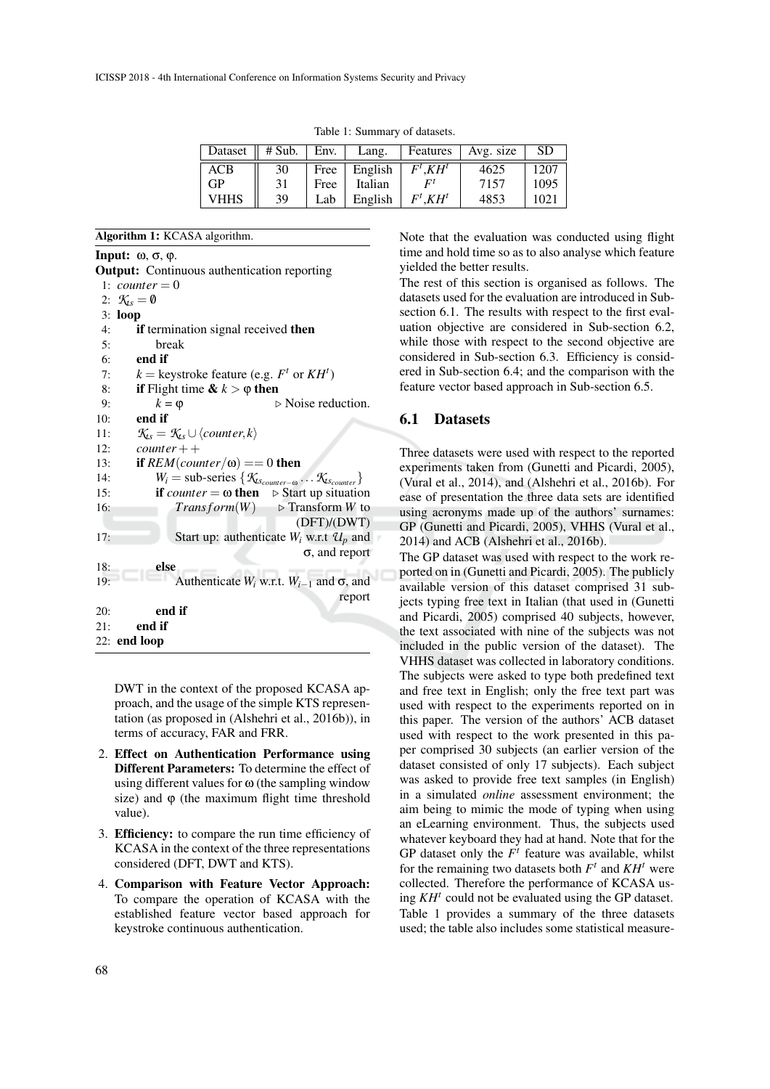| Dataset $\parallel$ # Sub. |    | Env. | Lang.   |            | Features   Avg. size | <b>SD</b> |
|----------------------------|----|------|---------|------------|----------------------|-----------|
| <b>ACB</b>                 | 30 | Free | English | $F^t.KH^t$ | 4625                 | 1207      |
| GP                         | 31 | Free | Italian | Γl         | 7157                 | 1095      |
| VHHS                       | 39 | Lab  | English | $F^t.KH^t$ | 4853                 | 1021      |

Table 1: Summary of datasets.

Algorithm 1: KCASA algorithm.

Input: ω, σ, ϕ.

```
Output: Continuous authentication reporting
 1: counter = 02: K_{\text{Ls}} = \emptyset3: loop
 4: if termination signal received then
 5: break
 6: end if
 7: k = \text{keystroke feature (e.g. } F^t \text{ or } KH^t)8: if Flight time \& k > \phi then
9: k = \varphi \triangleright Noise reduction.<br>10: end if
         end if
11: \mathcal{K}_s = \mathcal{K}_s \cup \langle counter, k \rangle<br>12: counter + +
         counter++13: if REM(counter/\omega) == 0 then
14: W_i = \text{sub-series} \{ \mathcal{K}_{ts_{counter}} \ldots \mathcal{K}_{ts_{counter}} \}15: if counter = \omega then \triangleright Start up situation
16: Transform(W) \triangleright Transform W to
                                           (DFT)/(DWT)
17: Start up: authenticate W_i w.r.t U_p and
                                             σ, and report
18: else
19: Authenticate W<sub>i</sub> w.r.t. W<sub>i−1</sub> and \sigma, and
                                                     report
20: end if
21: end if
22: end loop
```
DWT in the context of the proposed KCASA approach, and the usage of the simple KTS representation (as proposed in (Alshehri et al., 2016b)), in terms of accuracy, FAR and FRR.

- 2. Effect on Authentication Performance using Different Parameters: To determine the effect of using different values for  $\omega$  (the sampling window size) and  $\varphi$  (the maximum flight time threshold value).
- 3. Efficiency: to compare the run time efficiency of KCASA in the context of the three representations considered (DFT, DWT and KTS).
- 4. Comparison with Feature Vector Approach: To compare the operation of KCASA with the established feature vector based approach for keystroke continuous authentication.

Note that the evaluation was conducted using flight time and hold time so as to also analyse which feature yielded the better results.

The rest of this section is organised as follows. The datasets used for the evaluation are introduced in Subsection 6.1. The results with respect to the first evaluation objective are considered in Sub-section 6.2, while those with respect to the second objective are considered in Sub-section 6.3. Efficiency is considered in Sub-section 6.4; and the comparison with the feature vector based approach in Sub-section 6.5.

#### 6.1 Datasets

Three datasets were used with respect to the reported experiments taken from (Gunetti and Picardi, 2005), (Vural et al., 2014), and (Alshehri et al., 2016b). For ease of presentation the three data sets are identified using acronyms made up of the authors' surnames: GP (Gunetti and Picardi, 2005), VHHS (Vural et al., 2014) and ACB (Alshehri et al., 2016b).

The GP dataset was used with respect to the work reported on in (Gunetti and Picardi, 2005). The publicly available version of this dataset comprised 31 subjects typing free text in Italian (that used in (Gunetti and Picardi, 2005) comprised 40 subjects, however, the text associated with nine of the subjects was not included in the public version of the dataset). The VHHS dataset was collected in laboratory conditions. The subjects were asked to type both predefined text and free text in English; only the free text part was used with respect to the experiments reported on in this paper. The version of the authors' ACB dataset used with respect to the work presented in this paper comprised 30 subjects (an earlier version of the dataset consisted of only 17 subjects). Each subject was asked to provide free text samples (in English) in a simulated *online* assessment environment; the aim being to mimic the mode of typing when using an eLearning environment. Thus, the subjects used whatever keyboard they had at hand. Note that for the GP dataset only the  $F<sup>t</sup>$  feature was available, whilst for the remaining two datasets both  $F<sup>t</sup>$  and  $KH<sup>t</sup>$  were collected. Therefore the performance of KCASA using *KH<sup>t</sup>* could not be evaluated using the GP dataset. Table 1 provides a summary of the three datasets used; the table also includes some statistical measure-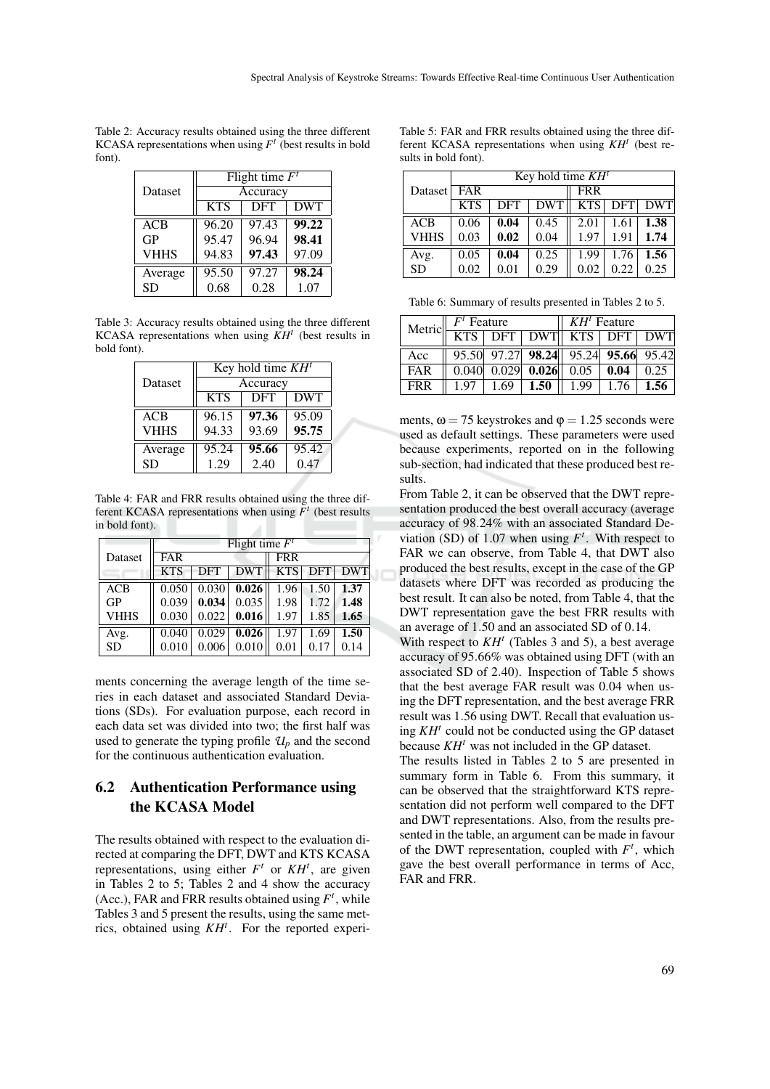Table 2: Accuracy results obtained using the three different KCASA representations when using  $F<sup>t</sup>$  (best results in bold font).

|             | Flight time $F^t$ |            |            |  |  |  |
|-------------|-------------------|------------|------------|--|--|--|
| Dataset     | Accuracy          |            |            |  |  |  |
|             | <b>KTS</b>        | <b>DFT</b> | <b>DWT</b> |  |  |  |
| <b>ACB</b>  | 96.20             | 97.43      | 99.22      |  |  |  |
| <b>GP</b>   | 95.47             | 96.94      | 98.41      |  |  |  |
| <b>VHHS</b> | 94.83             | 97.43      | 97.09      |  |  |  |
| Average     | 95.50             | 97.27      | 98.24      |  |  |  |
| <b>SD</b>   | 0.68              | 0.28       | 1.07       |  |  |  |

Table 3: Accuracy results obtained using the three different KCASA representations when using *KH<sup>t</sup>* (best results in bold font).

|             | Key hold time $KH^{t}$ |            |            |  |  |  |
|-------------|------------------------|------------|------------|--|--|--|
| Dataset     | Accuracy               |            |            |  |  |  |
|             | <b>KTS</b>             | <b>DFT</b> | <b>DWT</b> |  |  |  |
| ACB         | 96.15                  | 97.36      | 95.09      |  |  |  |
| <b>VHHS</b> | 94.33                  | 93.69      | 95.75      |  |  |  |
| Average     | 95.24                  | 95.66      | 95.42      |  |  |  |
| <b>SD</b>   | 1.29                   | 2.40       | 0.47       |  |  |  |

Table 4: FAR and FRR results obtained using the three different KCASA representations when using  $F<sup>t</sup>$  (best results in bold font).

|             | Flight time $F^t$ |            |               |            |         |            |
|-------------|-------------------|------------|---------------|------------|---------|------------|
| Dataset     | <b>FAR</b>        |            |               | <b>FRR</b> |         |            |
|             | <b>KTS</b>        | <b>DFT</b> | <b>DWT</b>    |            | KTS DFT | <b>DWT</b> |
| ACB         | 0.050             |            | 0.030   0.026 | 1.96       | 1.50    | 1.37       |
| <b>GP</b>   | 0.039             | 0.034      | 0.035         | 1.98       | 1.72    | 1.48       |
| <b>VHHS</b> | 0.030             | 0.022      | 0.016         | 1.97       | 1.85    | 1.65       |
| Avg.        | 0.040             | 0.029      | 0.026         | 1.97       | 1.69    | 1.50       |
| <b>SD</b>   | 0.010             | 0.006      | 0.010         | 0.01       | 0.17    | 0.14       |

ments concerning the average length of the time series in each dataset and associated Standard Deviations (SDs). For evaluation purpose, each record in each data set was divided into two; the first half was used to generate the typing profile  $\mathcal{U}_p$  and the second for the continuous authentication evaluation.

## 6.2 Authentication Performance using the KCASA Model

The results obtained with respect to the evaluation directed at comparing the DFT, DWT and KTS KCASA representations, using either  $F^t$  or  $KH^t$ , are given in Tables 2 to 5; Tables 2 and 4 show the accuracy (Acc.), FAR and FRR results obtained using  $F^t$ , while Tables 3 and 5 present the results, using the same metrics, obtained using *KH<sup>t</sup>* . For the reported experi-

Table 5: FAR and FRR results obtained using the three different KCASA representations when using *KH<sup>t</sup>* (best results in bold font).

|           | Key hold time $KHt$ |      |            |      |            |            |  |
|-----------|---------------------|------|------------|------|------------|------------|--|
| Dataset   | FAR                 |      |            |      | <b>FRR</b> |            |  |
|           | <b>KTS</b>          | DFT  | <b>DWT</b> |      | KTS DFT    | <b>DWT</b> |  |
| ACB       | 0.06                | 0.04 | 0.45       | 2.01 | 1.61       | 1.38       |  |
| VHHS      | 0.03                | 0.02 | 0.04       | 1.97 | 1.91       | 1.74       |  |
| Avg.      | 0.05                | 0.04 | 0.25       | 1.99 | 1.76       | 1.56       |  |
| <b>SD</b> | 0.02                | 0.01 | 0.29       | 0.02 | 0.22       | 0.25       |  |

Table 6: Summary of results presented in Tables 2 to 5.

| Metric     | $Ft$ Feature |      |                                                                                                                   | $KHt$ Feature |      |      |
|------------|--------------|------|-------------------------------------------------------------------------------------------------------------------|---------------|------|------|
|            |              |      | KTS   DFT   DWT   KTS   DFT   DWT                                                                                 |               |      |      |
| Acc        |              |      | $\overline{95.50}$ $\overline{97.27}$ $\overline{98.24}$ $\overline{95.24}$ $\overline{95.66}$ $\overline{95.42}$ |               |      |      |
| FAR        | 0.040        |      | $0.029$ 0.026 0.05 0.04                                                                                           |               |      | 0.25 |
| <b>FRR</b> | 197          | 1.69 | 1.50                                                                                                              | 1.99          | 1.76 | 1.56 |

ments,  $\omega = 75$  keystrokes and  $\varphi = 1.25$  seconds were used as default settings. These parameters were used because experiments, reported on in the following sub-section, had indicated that these produced best results.

From Table 2, it can be observed that the DWT representation produced the best overall accuracy (average accuracy of 98.24% with an associated Standard Deviation (SD) of 1.07 when using  $F^t$ . With respect to FAR we can observe, from Table 4, that DWT also produced the best results, except in the case of the GP datasets where DFT was recorded as producing the best result. It can also be noted, from Table 4, that the DWT representation gave the best FRR results with an average of 1.50 and an associated SD of 0.14.

With respect to  $KH<sup>t</sup>$  (Tables 3 and 5), a best average accuracy of 95.66% was obtained using DFT (with an associated SD of 2.40). Inspection of Table 5 shows that the best average FAR result was 0.04 when using the DFT representation, and the best average FRR result was 1.56 using DWT. Recall that evaluation using *KH<sup>t</sup>* could not be conducted using the GP dataset because *KH<sup>t</sup>* was not included in the GP dataset.

The results listed in Tables 2 to 5 are presented in summary form in Table 6. From this summary, it can be observed that the straightforward KTS representation did not perform well compared to the DFT and DWT representations. Also, from the results presented in the table, an argument can be made in favour of the DWT representation, coupled with  $F<sup>t</sup>$ , which gave the best overall performance in terms of Acc, FAR and FRR.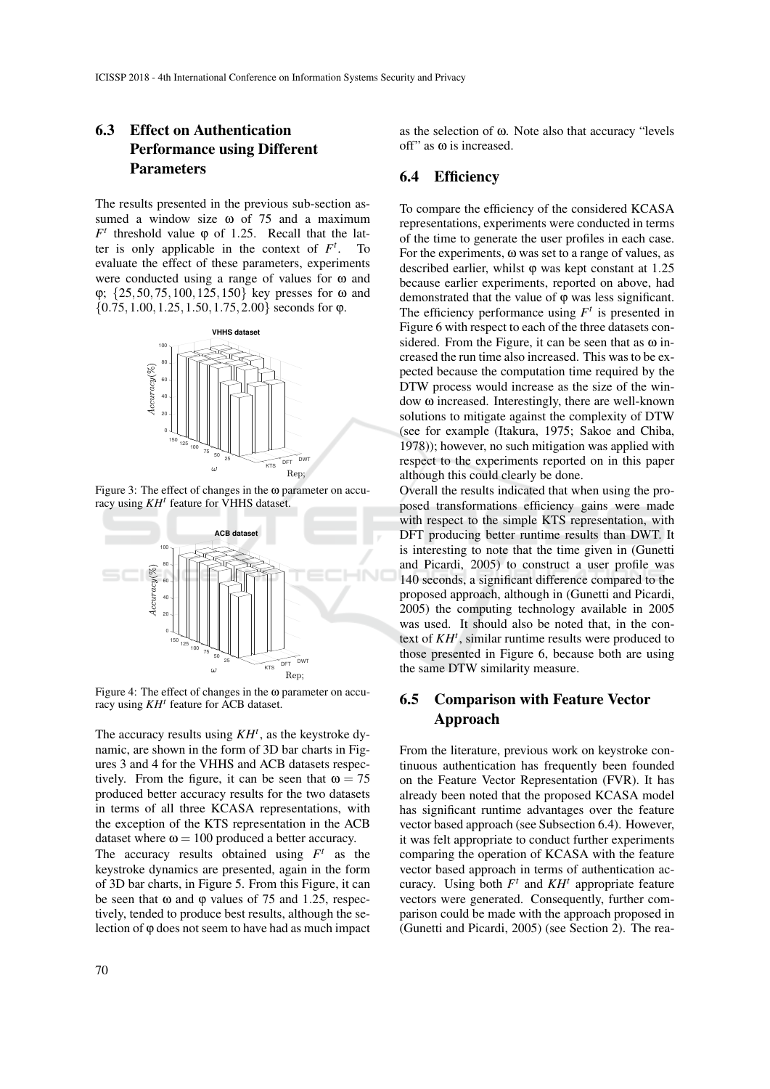# 6.3 Effect on Authentication Performance using Different Parameters

The results presented in the previous sub-section assumed a window size ω of 75 and a maximum  $F<sup>t</sup>$  threshold value  $\varphi$  of 1.25. Recall that the latter is only applicable in the context of  $F<sup>t</sup>$ . To evaluate the effect of these parameters, experiments were conducted using a range of values for ω and ϕ; {25,50,75,100,125,150} key presses for ω and  $\{0.75, 1.00, 1.25, 1.50, 1.75, 2.00\}$  seconds for  $\varphi$ .



Figure 3: The effect of changes in the ω parameter on accuracy using *KH<sup>t</sup>* feature for VHHS dataset.



Figure 4: The effect of changes in the  $\omega$  parameter on accuracy using *KH<sup>t</sup>* feature for ACB dataset.

The accuracy results using *KH<sup>t</sup>* , as the keystroke dynamic, are shown in the form of 3D bar charts in Figures 3 and 4 for the VHHS and ACB datasets respectively. From the figure, it can be seen that  $\omega = 75$ produced better accuracy results for the two datasets in terms of all three KCASA representations, with the exception of the KTS representation in the ACB dataset where  $\omega = 100$  produced a better accuracy.

The accuracy results obtained using  $F^t$  as the keystroke dynamics are presented, again in the form of 3D bar charts, in Figure 5. From this Figure, it can be seen that  $\omega$  and  $\varphi$  values of 75 and 1.25, respectively, tended to produce best results, although the selection of ϕ does not seem to have had as much impact

as the selection of ω. Note also that accuracy "levels off" as ω is increased.

#### 6.4 Efficiency

To compare the efficiency of the considered KCASA representations, experiments were conducted in terms of the time to generate the user profiles in each case. For the experiments, ω was set to a range of values, as described earlier, whilst  $\varphi$  was kept constant at 1.25 because earlier experiments, reported on above, had demonstrated that the value of ϕ was less significant. The efficiency performance using  $F<sup>t</sup>$  is presented in Figure 6 with respect to each of the three datasets considered. From the Figure, it can be seen that as  $\omega$  increased the run time also increased. This was to be expected because the computation time required by the DTW process would increase as the size of the window ω increased. Interestingly, there are well-known solutions to mitigate against the complexity of DTW (see for example (Itakura, 1975; Sakoe and Chiba, 1978)); however, no such mitigation was applied with respect to the experiments reported on in this paper although this could clearly be done.

Overall the results indicated that when using the proposed transformations efficiency gains were made with respect to the simple KTS representation, with DFT producing better runtime results than DWT. It is interesting to note that the time given in (Gunetti and Picardi, 2005) to construct a user profile was 140 seconds, a significant difference compared to the proposed approach, although in (Gunetti and Picardi, 2005) the computing technology available in 2005 was used. It should also be noted that, in the context of *KH<sup>t</sup>* , similar runtime results were produced to those presented in Figure 6, because both are using the same DTW similarity measure.

### 6.5 Comparison with Feature Vector Approach

From the literature, previous work on keystroke continuous authentication has frequently been founded on the Feature Vector Representation (FVR). It has already been noted that the proposed KCASA model has significant runtime advantages over the feature vector based approach (see Subsection 6.4). However, it was felt appropriate to conduct further experiments comparing the operation of KCASA with the feature vector based approach in terms of authentication accuracy. Using both  $F^t$  and  $KH^t$  appropriate feature vectors were generated. Consequently, further comparison could be made with the approach proposed in (Gunetti and Picardi, 2005) (see Section 2). The rea-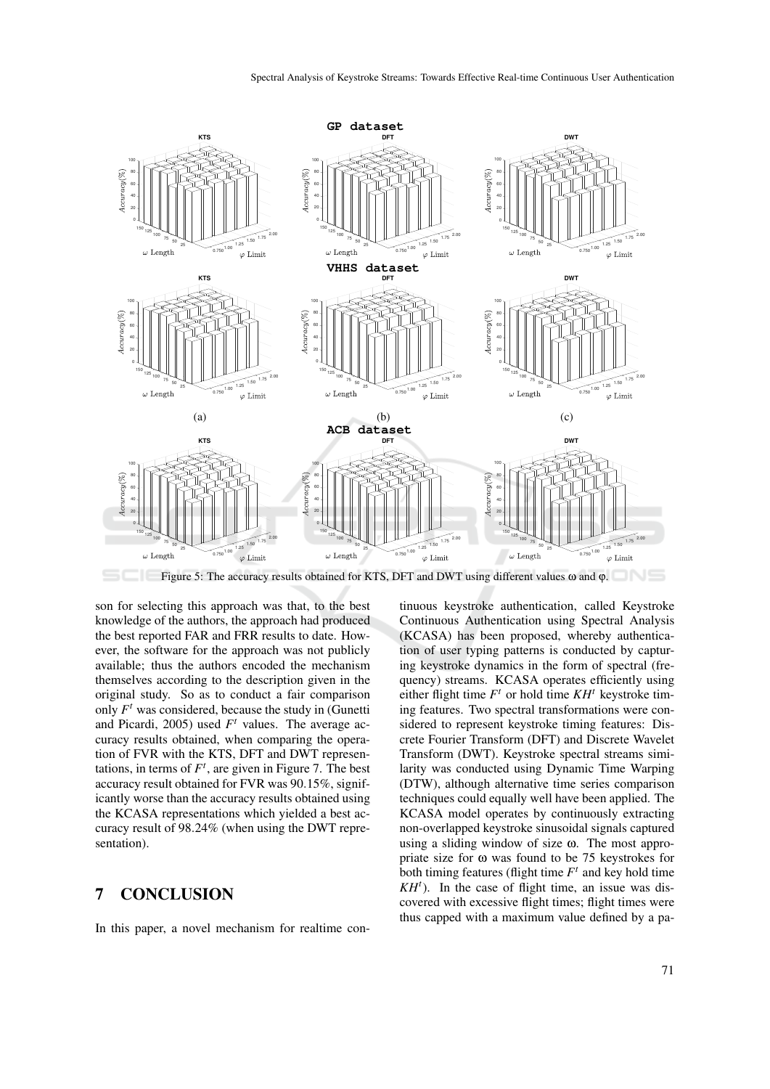

Figure 5: The accuracy results obtained for KTS, DFT and DWT using different values ω and ϕ.

son for selecting this approach was that, to the best knowledge of the authors, the approach had produced the best reported FAR and FRR results to date. However, the software for the approach was not publicly available; thus the authors encoded the mechanism themselves according to the description given in the original study. So as to conduct a fair comparison only  $F<sup>t</sup>$  was considered, because the study in (Gunetti and Picardi, 2005) used  $F<sup>t</sup>$  values. The average accuracy results obtained, when comparing the operation of FVR with the KTS, DFT and DWT representations, in terms of  $F^t$ , are given in Figure 7. The best accuracy result obtained for FVR was 90.15%, significantly worse than the accuracy results obtained using the KCASA representations which yielded a best accuracy result of 98.24% (when using the DWT representation).

#### 7 CONCLUSION

In this paper, a novel mechanism for realtime con-

tinuous keystroke authentication, called Keystroke Continuous Authentication using Spectral Analysis (KCASA) has been proposed, whereby authentication of user typing patterns is conducted by capturing keystroke dynamics in the form of spectral (frequency) streams. KCASA operates efficiently using either flight time  $F<sup>t</sup>$  or hold time  $KH<sup>t</sup>$  keystroke timing features. Two spectral transformations were considered to represent keystroke timing features: Discrete Fourier Transform (DFT) and Discrete Wavelet Transform (DWT). Keystroke spectral streams similarity was conducted using Dynamic Time Warping (DTW), although alternative time series comparison techniques could equally well have been applied. The KCASA model operates by continuously extracting non-overlapped keystroke sinusoidal signals captured using a sliding window of size ω. The most appropriate size for  $\omega$  was found to be 75 keystrokes for both timing features (flight time  $F<sup>t</sup>$  and key hold time  $KH<sup>t</sup>$ ). In the case of flight time, an issue was discovered with excessive flight times; flight times were thus capped with a maximum value defined by a pa-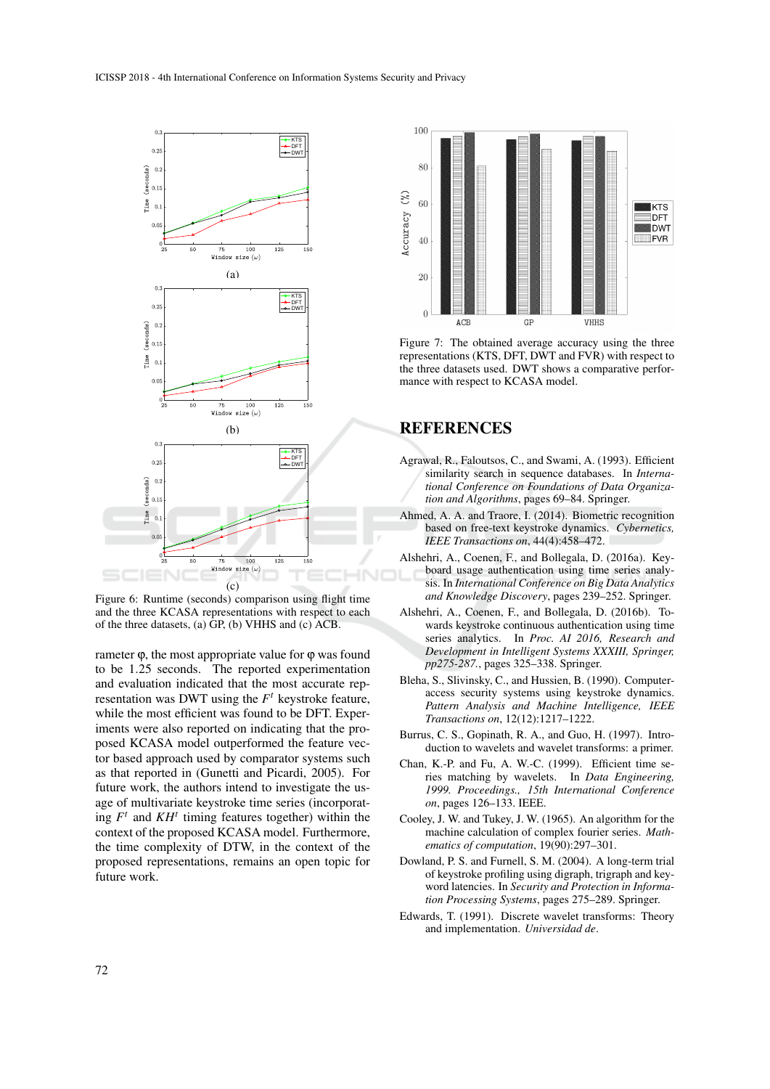

Figure 6: Runtime (seconds) comparison using flight time and the three KCASA representations with respect to each of the three datasets, (a)  $\overline{GP}$ , (b) VHHS and (c)  $\overline{ACB}$ .

rameter  $\varphi$ , the most appropriate value for  $\varphi$  was found to be 1.25 seconds. The reported experimentation and evaluation indicated that the most accurate representation was DWT using the  $F<sup>t</sup>$  keystroke feature, while the most efficient was found to be DFT. Experiments were also reported on indicating that the proposed KCASA model outperformed the feature vector based approach used by comparator systems such as that reported in (Gunetti and Picardi, 2005). For future work, the authors intend to investigate the usage of multivariate keystroke time series (incorporating  $F<sup>t</sup>$  and  $KH<sup>t</sup>$  timing features together) within the context of the proposed KCASA model. Furthermore, the time complexity of DTW, in the context of the proposed representations, remains an open topic for future work.



Figure 7: The obtained average accuracy using the three representations (KTS, DFT, DWT and FVR) with respect to the three datasets used. DWT shows a comparative performance with respect to KCASA model.

## REFERENCES

- Agrawal, R., Faloutsos, C., and Swami, A. (1993). Efficient similarity search in sequence databases. In *International Conference on Foundations of Data Organization and Algorithms*, pages 69–84. Springer.
- Ahmed, A. A. and Traore, I. (2014). Biometric recognition based on free-text keystroke dynamics. *Cybernetics, IEEE Transactions on*, 44(4):458–472.
- Alshehri, A., Coenen, F., and Bollegala, D. (2016a). Keyboard usage authentication using time series analysis. In *International Conference on Big Data Analytics and Knowledge Discovery*, pages 239–252. Springer.
- Alshehri, A., Coenen, F., and Bollegala, D. (2016b). Towards keystroke continuous authentication using time series analytics. In *Proc. AI 2016, Research and Development in Intelligent Systems XXXIII, Springer, pp275-287.*, pages 325–338. Springer.
- Bleha, S., Slivinsky, C., and Hussien, B. (1990). Computeraccess security systems using keystroke dynamics. *Pattern Analysis and Machine Intelligence, IEEE Transactions on*, 12(12):1217–1222.
- Burrus, C. S., Gopinath, R. A., and Guo, H. (1997). Introduction to wavelets and wavelet transforms: a primer.
- Chan, K.-P. and Fu, A. W.-C. (1999). Efficient time series matching by wavelets. In *Data Engineering, 1999. Proceedings., 15th International Conference on*, pages 126–133. IEEE.
- Cooley, J. W. and Tukey, J. W. (1965). An algorithm for the machine calculation of complex fourier series. *Mathematics of computation*, 19(90):297–301.
- Dowland, P. S. and Furnell, S. M. (2004). A long-term trial of keystroke profiling using digraph, trigraph and keyword latencies. In *Security and Protection in Information Processing Systems*, pages 275–289. Springer.
- Edwards, T. (1991). Discrete wavelet transforms: Theory and implementation. *Universidad de*.